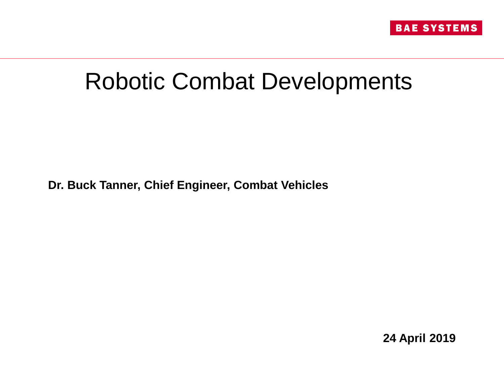

# Robotic Combat Developments

**Dr. Buck Tanner, Chief Engineer, Combat Vehicles**

**24 April 2019**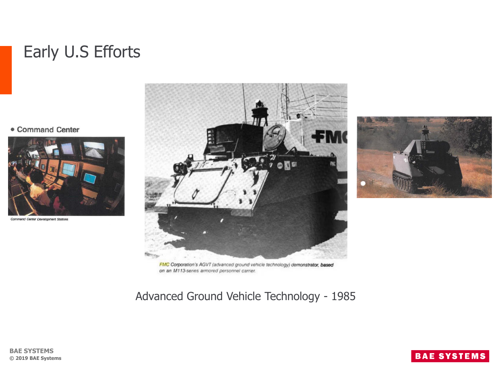### Early U.S Efforts

• Command Center



Command Center Development Stations





FMC Corporation's AGVT (advanced ground vehicle technology) demonstrator, based on an M113-series armored personnel carrier.

Advanced Ground Vehicle Technology - 1985

#### **BAE SYSTEMS © 2019 BAE Systems**

### **BAE SYSTEMS**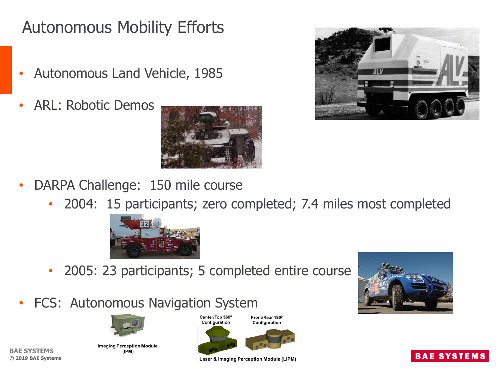## Autonomous Mobility Efforts

- Autonomous Land Vehicle, 1985
- ARL: Robotic Demos





- DARPA Challenge: 150 mile course
	- 2004: 15 participants; zero completed; 7.4 miles most completed



- 2005: 23 participants; 5 completed entire course
- FCS: Autonomous Navigation System



**Imaging Perception Module** (IPM)

**BAE SYSTEMS © 2019 BAE Systems** Center/Top 360<sup>0</sup> Configuration





Front/Rear 180<sup>°</sup>

**Laser & Imaging Perception Module (LIPM)** 

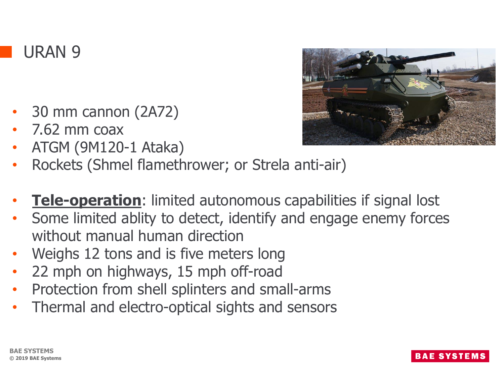

- 30 mm cannon (2A72)
- 7.62 mm coax
- ATGM (9M120-1 Ataka)
- Rockets (Shmel flamethrower; or Strela anti-air)
- **Tele-operation**: limited autonomous capabilities if signal lost
- Some limited ablity to detect, identify and engage enemy forces without manual human direction
- Weighs 12 tons and is five meters long
- 22 mph on highways, 15 mph off-road
- Protection from shell splinters and small-arms
- Thermal and electro-optical sights and sensors